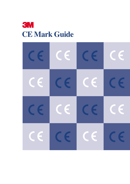

| $\epsilon$ | $\bm{\epsilon}$ | $\epsilon$ | $\bm{\mathsf{c}}$ $\bm{\epsilon}$ |
|------------|-----------------|------------|-----------------------------------|
| $\epsilon$ | $\epsilon$      | $\epsilon$ | $\epsilon$                        |
| $\epsilon$ | $\mathsf{CE}$   | $\epsilon$ | $\epsilon$                        |
| $\epsilon$ | $\mathsf{CE}$   | $\epsilon$ | CE                                |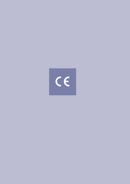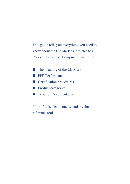This guide tells you everything you need to know about the CE Mark as it relates to all Personal Protective Equipment, including

- The meaning of the CE Mark
- PPE Performance
- Certification procedures
- Product categories
- Types of Documentation

In brief, it is clear, concise and invaluable reference tool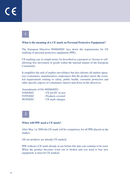**1**

### **What is the meaning of a CE mark on Personal Protective Equipment?**

The European Directive 89/686/EEC lays down the requirements for CE marking of personal protective equipment (PPE).

CE marking can, in simple terms, be described as a passport or 'license to sell' allowing free movement of goods within the internal market of the European Community.

It simplifies the task of market surveillance but also informs all market operators (consumers, manufacturers, tradesmen) that the product meets the essential requirements relating to safety, public health, consumer protection and other specific aspects of community interest laid down in the directives.

Amendments of Dir 89/686/EEC:

| 93/68/EEC | - CE not EC in text. |
|-----------|----------------------|
| 93/95/EEC | - Products covered   |
| 96/58/EEC | - CE mark changes    |

**2**

### **When will PPE need a CE mark?**

After May 1st 2004 the CE mark will be compulsory for all PPE placed on the market.

All our products are already CE marked.

PPE without a CE mark already in use before this date can continue to be used. When the product becomes worn out or broken and you need to buy new equipment, it must be CE marked.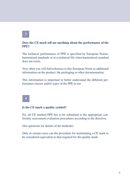# **3**

# **Does the CE mark tell me anything about the performance of the PPE?**

The technical performance of PPE is specified by European Norms, harmonized standards or in a technical file when harmonized standard does not exists.

Very often you will find reference to this European Norm as additional information on the product, the packaging or other documentation.

This information is important to better understand the different performance classes and/or types of the PPE in use

# **4**

### **Is the CE mark a quality symbol?**

No, all CE marked PPE has to be submitted to the appropriate conformity assessment evaluation procedures according to the directive.

(See questions for details of the methods)

Only in certain cases can the procedure for maintaining a CE mark to be considered equivalent to that required for the quality mark.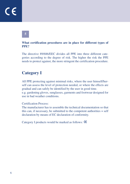# CE

# **What certification procedures are in place for different types of PPE?**

The directive 89/686/EEC divides all PPE into three different categories according to the degree of risk. The higher the risk the PPE needs to protect against, the more stringent the certification procedure.

# **Category I**

All PPE protecting against minimal risks, where the user himself/herself can assess the level of protection needed, or where the effects are gradual and can safely be identified by the user in good time. e.g. gardening gloves, sunglasses, garments and footwear designed for use in bad weather conditions.

# Certification Process:

The manufacturer has to assemble the technical documentation so that this can, if necessary, be submitted to the competent authorities = self declaration by means of EC declaration of conformity.

Category I products would be marked as follows: **CE**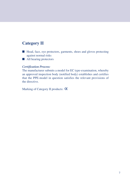# **Category II**

- Head, face, eye protectors, garments, shoes and gloves protecting against normal risks
- All hearing protectors

# *Certification Process:*

The manufacturer submits a model for EC type-examination, whereby an approved inspection body (notified body) establishes and certifies that the PPE-model in question satisfies the relevant provisions of the directive.

Marking of Category II products: CE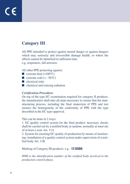# **Category III**

All PPE intended to protect against mortal danger or against dangers which may seriously and irreversible damage health, or where the effects cannot be identified in sufficient time. e.g. respirators, fall arrestors

All other PPE protecting against:

- **E** extreme heat  $(>100^{\circ}C)$
- **E** extreme cold  $(< -50^{\circ}C)$
- electrical risks
- chemical and ionising radiation

# *Certification Procedure:*

On top of the type EC examination required for category II products, the manufacturer shall take all steps necessary to ensure that the manufacturing process, including the final inspection of PPE and test ensures the homogeneity of the conformity of PPE with the type described in the EC type-approval.

This can be done in 2 ways:

1. EC quality control system for the final product: necessary checks shall be carried out by a notified body at random, normally at intervals of at least a year. Art. 11A

2. System for ensuring EC quality of production by means of monitoring: installation of a quality control system under supervision of a notified body Art. 11B

Marking of Category III products: e.g. CC 0086

*0086 is the identification number of the notified body involved in the production control phase.*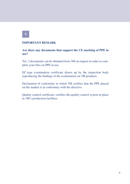# **IMPORTANT REMARK**

# **Are there any documents that support the CE marking of PPE in use?**

Yes, 3 documents can be obtained from 3M on request in order to complete your files on PPE in use.

EC-type examination certificate drawn up by the inspection body reproducing the findings of the examination on 3M products.

Declaration of conformity in which 3M certifies that the PPE placed on the market is in conformity with the directive

Quality control certificate: certifies the quality control system in place in 3M's production facilities.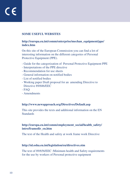# **SOME USEFUL WEBSITES**

# **[http://europa.eu.int/comm/enterprise/mechan\\_equipment/ppe/](http://europa.eu.int/comm/enterprise/mechan_equipment/ppe/) index.htm**

On this site of the European Commission you can find a lot of interesting information on the different categories of Personal Protective Equipment (PPE).

- Guide for the categorization of Personal Protective Equipment PPE
- Interpretations of the PPE directive
- Recommendation for use sheets
- General information on notified bodies
- List of notified bodies
- Working paper Draft proposal for an amending Directive to Directive 89/686/EEC
- $-FAO$
- Amendments

# **<http://www.newapproach.org/Directives/Default.asp>**

This site provides the texts and additional information on the EN **Standards** 

# **[http://europa.eu.int/comm/employment\\_social/health\\_safety/](http://europa.eu.int/comm/employment_social/health_safety/) intro/framedir\_en.htm**

The text of the Health and safety at work frame work Directive

# **<http://nl.osha.eu.int/legislation/eu/directives.stm>**

The text of 89/656/EEC :Minimum health and Safety requirements for the use by workers of Personal protective equipment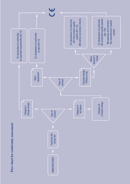